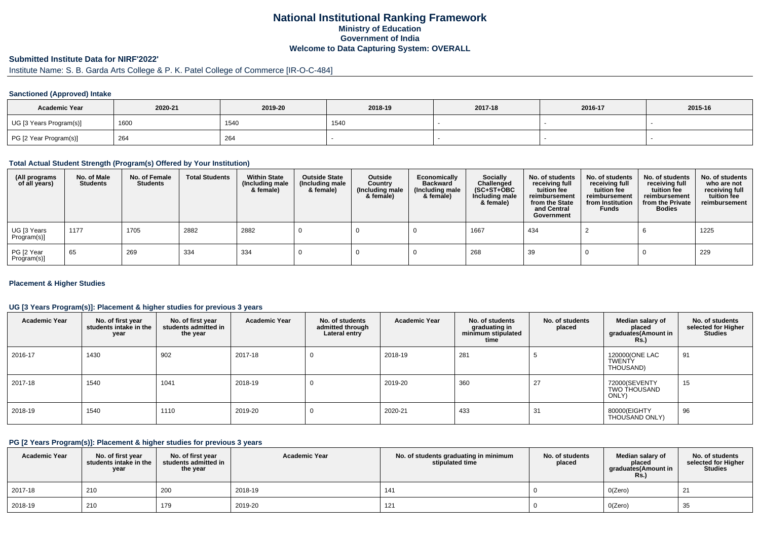## **National Institutional Ranking FrameworkMinistry of Education Government of IndiaWelcome to Data Capturing System: OVERALL**

# **Submitted Institute Data for NIRF'2022'**

# Institute Name: S. B. Garda Arts College & P. K. Patel College of Commerce [IR-O-C-484]

#### **Sanctioned (Approved) Intake**

| <b>Academic Year</b>    | 2020-21 | 2019-20 | 2018-19 | 2017-18 | 2016-17 | 2015-16 |
|-------------------------|---------|---------|---------|---------|---------|---------|
| UG [3 Years Program(s)] | 1600    | 1540    | 1540    |         |         |         |
| PG [2 Year Program(s)]  | 264     | 264     |         |         |         |         |

#### **Total Actual Student Strength (Program(s) Offered by Your Institution)**

| (All programs<br>of all years) | No. of Male<br><b>Students</b> | No. of Female<br><b>Students</b> | <b>Total Students</b> | <b>Within State</b><br>(Including male<br>& female) | <b>Outside State</b><br>(Including male<br>& female) | Outside<br>Country<br>(Including male<br>& female) | Economically<br><b>Backward</b><br>(Including male<br>& female) | Socially<br>Challenged<br>$(SC+ST+OBC)$<br>Including male<br>& female) | No. of students<br>receiving full<br>tuition fee<br>reimbursement<br>from the State<br>and Central<br>Government | No. of students<br>receiving full<br>tuition fee<br>reimbursement<br>from Institution<br><b>Funds</b> | No. of students<br>receiving full<br>tuition fee<br>reimbursement<br>from the Private<br><b>Bodies</b> | No. of students<br>who are not<br>receiving full<br>tuition fee<br>reimbursement |
|--------------------------------|--------------------------------|----------------------------------|-----------------------|-----------------------------------------------------|------------------------------------------------------|----------------------------------------------------|-----------------------------------------------------------------|------------------------------------------------------------------------|------------------------------------------------------------------------------------------------------------------|-------------------------------------------------------------------------------------------------------|--------------------------------------------------------------------------------------------------------|----------------------------------------------------------------------------------|
| UG [3 Years<br>Program(s)]     | 1177                           | 1705                             | 2882                  | 2882                                                |                                                      |                                                    |                                                                 | 1667                                                                   | 434                                                                                                              |                                                                                                       |                                                                                                        | 1225                                                                             |
| PG [2 Year<br>Program(s)]      | 65                             | 269                              | 334                   | 334                                                 |                                                      |                                                    |                                                                 | 268                                                                    | 39                                                                                                               |                                                                                                       |                                                                                                        | 229                                                                              |

#### **Placement & Higher Studies**

#### **UG [3 Years Program(s)]: Placement & higher studies for previous 3 years**

| <b>Academic Year</b> | No. of first year<br>students intake in the<br>year | No. of first year<br>students admitted in<br>the year | <b>Academic Year</b> | No. of students<br>admitted through<br>Lateral entry | <b>Academic Year</b> | No. of students<br>graduating in<br>minimum stipulated<br>time | No. of students<br>placed | Median salary of<br>placed<br>graduates(Amount in<br><b>Rs.</b> ) | No. of students<br>selected for Higher<br><b>Studies</b> |
|----------------------|-----------------------------------------------------|-------------------------------------------------------|----------------------|------------------------------------------------------|----------------------|----------------------------------------------------------------|---------------------------|-------------------------------------------------------------------|----------------------------------------------------------|
| 2016-17              | 1430                                                | 902                                                   | 2017-18              | U                                                    | 2018-19              | 281                                                            |                           | 120000(ONE LAC<br><b>TWENTY</b><br>THOUSAND)                      | 91                                                       |
| 2017-18              | 1540                                                | 1041                                                  | 2018-19              | 0                                                    | 2019-20              | 360                                                            | 27                        | 72000(SEVENTY<br>TWO THOUSAND<br>ONLY)                            | 15                                                       |
| 2018-19              | 1540                                                | 1110                                                  | 2019-20              | U                                                    | 2020-21              | 433                                                            | 31                        | 80000(EIGHTY<br>THOUSAND ONLY)                                    | 96                                                       |

#### **PG [2 Years Program(s)]: Placement & higher studies for previous 3 years**

| <b>Academic Year</b> | No. of first year<br>students intake in the<br>year | No. of first year<br>students admitted in<br>the year | <b>Academic Year</b> | No. of students graduating in minimum<br>stipulated time | No. of students<br>placed | Median salary of<br>placed<br>graduates(Amount in<br>Rs. | No. of students<br>selected for Higher<br><b>Studies</b> |
|----------------------|-----------------------------------------------------|-------------------------------------------------------|----------------------|----------------------------------------------------------|---------------------------|----------------------------------------------------------|----------------------------------------------------------|
| 2017-18              | 210                                                 | 200                                                   | 2018-19              | 141                                                      |                           | O(Zero)                                                  | ▴                                                        |
| 2018-19              | 210                                                 | 179                                                   | 2019-20              | 121                                                      |                           | O(Zero)                                                  | 35                                                       |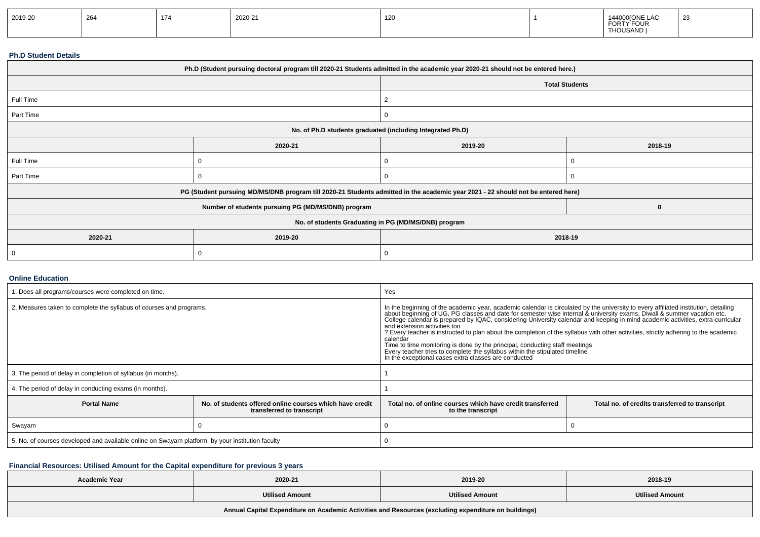| 2019-20 | 264 | 47A<br>$\frac{1}{2}$ | 2020-21 | 120 |  | $\cdots$<br>LAU<br>FORTY FOUR<br>THOUSAND) | ້ |
|---------|-----|----------------------|---------|-----|--|--------------------------------------------|---|
|---------|-----|----------------------|---------|-----|--|--------------------------------------------|---|

#### **Ph.D Student Details**

| Ph.D (Student pursuing doctoral program till 2020-21 Students admitted in the academic year 2020-21 should not be entered here.) |                                                                                                                                  |                    |                       |  |  |  |
|----------------------------------------------------------------------------------------------------------------------------------|----------------------------------------------------------------------------------------------------------------------------------|--------------------|-----------------------|--|--|--|
|                                                                                                                                  |                                                                                                                                  |                    | <b>Total Students</b> |  |  |  |
| Full Time                                                                                                                        |                                                                                                                                  | 2                  |                       |  |  |  |
| Part Time                                                                                                                        |                                                                                                                                  |                    |                       |  |  |  |
| No. of Ph.D students graduated (including Integrated Ph.D)                                                                       |                                                                                                                                  |                    |                       |  |  |  |
|                                                                                                                                  | 2020-21                                                                                                                          | 2019-20<br>2018-19 |                       |  |  |  |
| Full Time                                                                                                                        |                                                                                                                                  |                    |                       |  |  |  |
| Part Time                                                                                                                        |                                                                                                                                  |                    |                       |  |  |  |
|                                                                                                                                  | PG (Student pursuing MD/MS/DNB program till 2020-21 Students admitted in the academic year 2021 - 22 should not be entered here) |                    |                       |  |  |  |
|                                                                                                                                  | Number of students pursuing PG (MD/MS/DNB) program                                                                               |                    | 0                     |  |  |  |
|                                                                                                                                  | No. of students Graduating in PG (MD/MS/DNB) program                                                                             |                    |                       |  |  |  |
| 2020-21                                                                                                                          | 2019-20                                                                                                                          | 2018-19            |                       |  |  |  |
| 0                                                                                                                                |                                                                                                                                  |                    |                       |  |  |  |

#### **Online Education**

| . Does all programs/courses were completed on time.                                                         |  | Yes                                                                                                                                                                                                                                                                                                                                                                                                                                                                                                                                                                                                                                                                                                                                                                               |                                                |  |  |
|-------------------------------------------------------------------------------------------------------------|--|-----------------------------------------------------------------------------------------------------------------------------------------------------------------------------------------------------------------------------------------------------------------------------------------------------------------------------------------------------------------------------------------------------------------------------------------------------------------------------------------------------------------------------------------------------------------------------------------------------------------------------------------------------------------------------------------------------------------------------------------------------------------------------------|------------------------------------------------|--|--|
| 2. Measures taken to complete the syllabus of courses and programs.                                         |  | In the beginning of the academic year, academic calendar is circulated by the university to every affiliated institution, detailing<br>about beginning of UG, PG classes and date for semester wise internal & university exams, Diwali & summer vacation etc.<br>College calendar is prepared by IQAC, considering University calendar and keeping in mind academic act<br>and extension activities too<br>? Every teacher is instructed to plan about the completion of the syllabus with other activities, strictly adhering to the academic<br>calendar<br>Time to time monitoring is done by the principal, conducting staff meetings<br>Every teacher tries to complete the syllabus within the stipulated timeline<br>In the exceptional cases extra classes are conducted |                                                |  |  |
| 3. The period of delay in completion of syllabus (in months).                                               |  |                                                                                                                                                                                                                                                                                                                                                                                                                                                                                                                                                                                                                                                                                                                                                                                   |                                                |  |  |
| 4. The period of delay in conducting exams (in months).                                                     |  |                                                                                                                                                                                                                                                                                                                                                                                                                                                                                                                                                                                                                                                                                                                                                                                   |                                                |  |  |
| <b>Portal Name</b><br>No, of students offered online courses which have credit<br>transferred to transcript |  | Total no, of online courses which have credit transferred<br>to the transcript                                                                                                                                                                                                                                                                                                                                                                                                                                                                                                                                                                                                                                                                                                    | Total no. of credits transferred to transcript |  |  |
| Swayam                                                                                                      |  |                                                                                                                                                                                                                                                                                                                                                                                                                                                                                                                                                                                                                                                                                                                                                                                   |                                                |  |  |
| 5. No. of courses developed and available online on Swayam platform by your institution faculty             |  |                                                                                                                                                                                                                                                                                                                                                                                                                                                                                                                                                                                                                                                                                                                                                                                   |                                                |  |  |

### **Financial Resources: Utilised Amount for the Capital expenditure for previous 3 years**

| <b>Academic Year</b>                                                                                 | 2020-21                | 2019-20                | 2018-19                |  |  |  |
|------------------------------------------------------------------------------------------------------|------------------------|------------------------|------------------------|--|--|--|
|                                                                                                      | <b>Utilised Amount</b> | <b>Utilised Amount</b> | <b>Utilised Amount</b> |  |  |  |
| Annual Capital Expenditure on Academic Activities and Resources (excluding expenditure on buildings) |                        |                        |                        |  |  |  |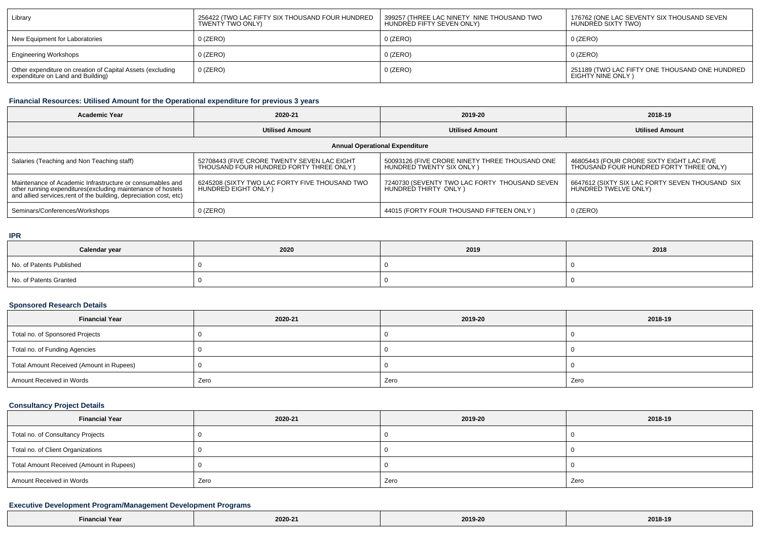| Library                                                                                         | 256422 (TWO LAC FIFTY SIX THOUSAND FOUR HUNDRED<br>TWENTY TWO ONLY) | 399257 (THREE LAC NINETY NINE THOUSAND TWO<br>HUNDRED FIFTY SEVEN ONLY) | 176762 (ONE LAC SEVENTY SIX THOUSAND SEVEN<br>HUNDRED SIXTY TWO)    |
|-------------------------------------------------------------------------------------------------|---------------------------------------------------------------------|-------------------------------------------------------------------------|---------------------------------------------------------------------|
| New Equipment for Laboratories                                                                  | $0$ (ZERO)                                                          | $0$ (ZERO)                                                              | $0$ (ZERO)                                                          |
| <b>Engineering Workshops</b>                                                                    | $0$ (ZERO)                                                          | 0 (ZERO)                                                                | $0$ (ZERO)                                                          |
| Other expenditure on creation of Capital Assets (excluding<br>expenditure on Land and Building) | $0$ (ZERO)                                                          | $0$ (ZERO)                                                              | 251189 (TWO LAC FIFTY ONE THOUSAND ONE HUNDRED<br>EIGHTY NINE ONLY) |

### **Financial Resources: Utilised Amount for the Operational expenditure for previous 3 years**

| <b>Academic Year</b>                                                                                                                                                                            | 2020-21                                                                                 | 2019-20                                                                    | 2018-19                                                                              |  |  |  |  |
|-------------------------------------------------------------------------------------------------------------------------------------------------------------------------------------------------|-----------------------------------------------------------------------------------------|----------------------------------------------------------------------------|--------------------------------------------------------------------------------------|--|--|--|--|
|                                                                                                                                                                                                 | <b>Utilised Amount</b>                                                                  | <b>Utilised Amount</b>                                                     | <b>Utilised Amount</b>                                                               |  |  |  |  |
| <b>Annual Operational Expenditure</b>                                                                                                                                                           |                                                                                         |                                                                            |                                                                                      |  |  |  |  |
| Salaries (Teaching and Non Teaching staff)                                                                                                                                                      | 52708443 (FIVE CRORE TWENTY SEVEN LAC EIGHT<br>THOUSAND FOUR HUNDRED FORTY THREE ONLY ) | 50093126 (FIVE CRORE NINETY THREE THOUSAND ONE<br>HUNDRED TWENTY SIX ONLY) | 46805443 (FOUR CRORE SIXTY EIGHT LAC FIVE<br>THOUSAND FOUR HUNDRED FORTY THREE ONLY) |  |  |  |  |
| Maintenance of Academic Infrastructure or consumables and<br>other running expenditures (excluding maintenance of hostels<br>and allied services, rent of the building, depreciation cost, etc) | 6245208 (SIXTY TWO LAC FORTY FIVE THOUSAND TWO<br>HUNDRED EIGHT ONLY)                   | 7240730 (SEVENTY TWO LAC FORTY THOUSAND SEVEN<br>HUNDRED THIRTY ONLY)      | 6647612 (SIXTY SIX LAC FORTY SEVEN THOUSAND SIX<br>HUNDRED TWELVE ONLY)              |  |  |  |  |
| Seminars/Conferences/Workshops                                                                                                                                                                  | $0$ (ZERO)                                                                              | 44015 (FORTY FOUR THOUSAND FIFTEEN ONLY)                                   | $0$ (ZERO)                                                                           |  |  |  |  |

**IPR**

| Calendar year            | 2020 | 2019 | 2018 |
|--------------------------|------|------|------|
| No. of Patents Published |      |      |      |
| No. of Patents Granted   |      |      |      |

### **Sponsored Research Details**

| <b>Financial Year</b>                    | 2020-21 | 2019-20 | 2018-19 |
|------------------------------------------|---------|---------|---------|
| Total no. of Sponsored Projects          |         |         |         |
| Total no. of Funding Agencies            |         |         |         |
| Total Amount Received (Amount in Rupees) |         |         |         |
| Amount Received in Words                 | Zero    | Zero    | Zero    |

### **Consultancy Project Details**

| <b>Financial Year</b>                    | 2020-21 | 2019-20 | 2018-19 |  |
|------------------------------------------|---------|---------|---------|--|
| Total no. of Consultancy Projects        |         |         |         |  |
| Total no. of Client Organizations        |         |         |         |  |
| Total Amount Received (Amount in Rupees) |         |         |         |  |
| Amount Received in Words                 | Zero    | Zero    | Zero    |  |

### **Executive Development Program/Management Development Programs**

|  | 2019-20<br>2018-19<br>2020-21<br>and the contract of the contract of the contract of the contract of the contract of the contract of the contract of<br>.<br>Yea<br>$- - - - -$ |  |
|--|---------------------------------------------------------------------------------------------------------------------------------------------------------------------------------|--|
|--|---------------------------------------------------------------------------------------------------------------------------------------------------------------------------------|--|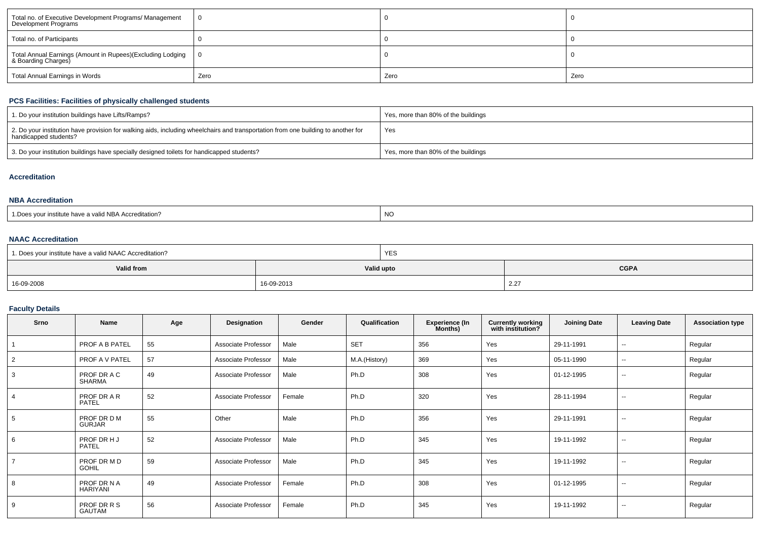| Total no. of Executive Development Programs/ Management<br>Development Programs   |      |      |      |
|-----------------------------------------------------------------------------------|------|------|------|
| Total no. of Participants                                                         |      |      |      |
| Total Annual Earnings (Amount in Rupees)(Excluding Lodging<br>& Boarding Charges) |      |      |      |
| Total Annual Earnings in Words                                                    | Zero | Zero | Zero |

### **PCS Facilities: Facilities of physically challenged students**

| 1. Do your institution buildings have Lifts/Ramps?                                                                                                         | Yes, more than 80% of the buildings |
|------------------------------------------------------------------------------------------------------------------------------------------------------------|-------------------------------------|
| 2. Do your institution have provision for walking aids, including wheelchairs and transportation from one building to another for<br>handicapped students? | Yes                                 |
| 3. Do your institution buildings have specially designed toilets for handicapped students?                                                                 | Yes, more than 80% of the buildings |

### **Accreditation**

#### **NBA Accreditation**

| s vour institute have a valid NBA Accreditation? | <b>NC</b> |
|--------------------------------------------------|-----------|
| : Does                                           |           |

#### **NAAC Accreditation**

| 1. Does your institute have a valid NAAC Accreditation? |            | <b>YES</b> |             |  |  |
|---------------------------------------------------------|------------|------------|-------------|--|--|
| <b>Valid from</b>                                       | Valid upto |            | <b>CGPA</b> |  |  |
| 16-09-2008                                              | 16-09-2013 |            | 2.27        |  |  |

### **Faculty Details**

| Srno           | Name                           | Age | Designation         | Gender | Qualification | <b>Experience (In</b><br>Months) | <b>Currently working</b><br>with institution? | <b>Joining Date</b> | <b>Leaving Date</b>      | <b>Association type</b> |
|----------------|--------------------------------|-----|---------------------|--------|---------------|----------------------------------|-----------------------------------------------|---------------------|--------------------------|-------------------------|
|                | PROF A B PATEL                 | 55  | Associate Professor | Male   | <b>SET</b>    | 356                              | Yes                                           | 29-11-1991          | $\sim$                   | Regular                 |
| 2              | <b>PROF A V PATEL</b>          | 57  | Associate Professor | Male   | M.A.(History) | 369                              | Yes                                           | 05-11-1990          | $\overline{\phantom{a}}$ | Regular                 |
| 3              | PROF DR A C<br>SHARMA          | 49  | Associate Professor | Male   | Ph.D          | 308                              | Yes                                           | 01-12-1995          | $\sim$                   | Regular                 |
| $\overline{4}$ | PROF DR A R<br>PATEL           | 52  | Associate Professor | Female | Ph.D          | 320                              | Yes                                           | 28-11-1994          | $\sim$                   | Regular                 |
| 5              | PROF DR D M<br><b>GURJAR</b>   | 55  | Other               | Male   | Ph.D          | 356                              | Yes                                           | 29-11-1991          | $\sim$                   | Regular                 |
| 6              | PROF DR HJ<br><b>PATEL</b>     | 52  | Associate Professor | Male   | Ph.D          | 345                              | Yes                                           | 19-11-1992          | $\sim$                   | Regular                 |
| $\overline{7}$ | PROF DR M D<br><b>GOHIL</b>    | 59  | Associate Professor | Male   | Ph.D          | 345                              | Yes                                           | 19-11-1992          | --                       | Regular                 |
| 8              | PROF DR N A<br><b>HARIYANI</b> | 49  | Associate Professor | Female | Ph.D          | 308                              | Yes                                           | 01-12-1995          | --                       | Regular                 |
| 9              | PROF DR R S<br>GAUTAM          | 56  | Associate Professor | Female | Ph.D          | 345                              | Yes                                           | 19-11-1992          | $\sim$                   | Regular                 |